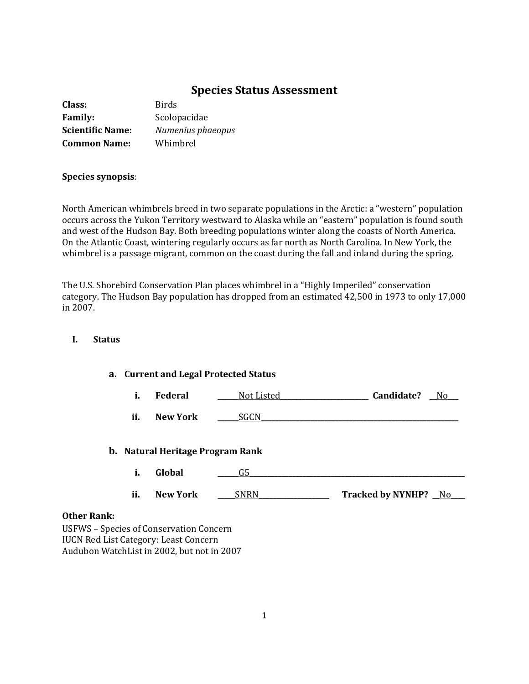# **Species Status Assessment**

| Class:                  | <b>Birds</b>      |
|-------------------------|-------------------|
| <b>Family:</b>          | Scolopacidae      |
| <b>Scientific Name:</b> | Numenius phaeopus |
| <b>Common Name:</b>     | Whimbrel          |

### **Species synopsis**:

North American whimbrels breed in two separate populations in the Arctic: a "western" population occurs across the Yukon Territory westward to Alaska while an "eastern" population is found south and west of the Hudson Bay. Both breeding populations winter along the coasts of North America. On the Atlantic Coast, wintering regularly occurs as far north as North Carolina. In New York, the whimbrel is a passage migrant, common on the coast during the fall and inland during the spring.

The U.S. Shorebird Conservation Plan places whimbrel in a "Highly Imperiled" conservation category. The Hudson Bay population has dropped from an estimated 42,500 in 1973 to only 17,000 in 2007.

## **I. Status**

## **a. Current and Legal Protected Status**

**i. Federal \_\_\_\_\_\_**Not Listed**\_\_\_\_\_\_\_\_\_\_\_\_\_\_\_\_\_\_\_\_\_\_\_\_\_ Candidate? \_\_**No**\_\_\_** 

**ii. New York \_\_\_\_\_\_**SGCN**\_\_\_\_\_\_\_\_\_\_\_\_\_\_\_\_\_\_\_\_\_\_\_\_\_\_\_\_\_\_\_\_\_\_\_\_\_\_\_\_\_\_\_\_\_\_\_\_\_\_\_\_\_\_\_\_**

### **b. Natural Heritage Program Rank**

- **i. Global \_\_\_\_\_\_**G5**\_\_\_\_\_\_\_\_\_\_\_\_\_\_\_\_\_\_\_\_\_\_\_\_\_\_\_\_\_\_\_\_\_\_\_\_\_\_\_\_\_\_\_\_\_\_\_\_\_\_\_\_\_\_\_\_\_\_\_\_\_**
- **ii. New York** \_\_\_\_\_\_\_\_\_\_\_\_\_\_\_\_\_\_\_\_\_\_\_\_\_\_\_\_\_\_\_ Tracked by NYNHP? \_\_No\_\_\_\_

### **Other Rank:**

USFWS – Species of Conservation Concern IUCN Red List Category: Least Concern Audubon WatchList in 2002, but not in 2007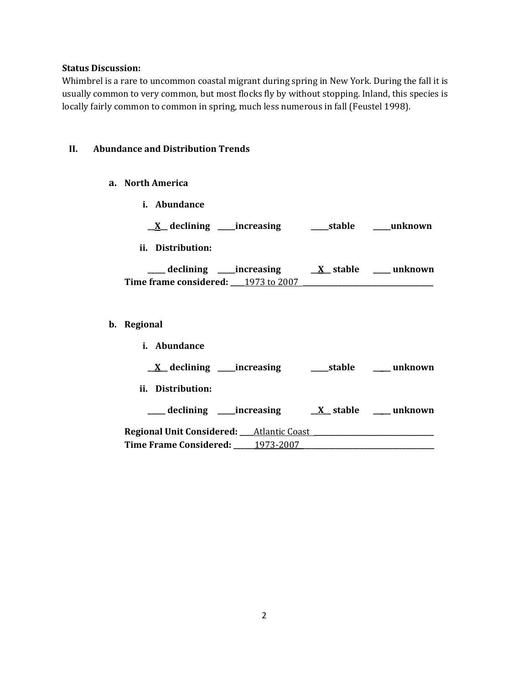### **Status Discussion:**

Whimbrel is a rare to uncommon coastal migrant during spring in New York. During the fall it is usually common to very common, but most flocks fly by without stopping. Inland, this species is locally fairly common to common in spring, much less numerous in fall (Feustel 1998).

## **II. Abundance and Distribution Trends**

- **a. North America**
- **i. Abundance \_\_X\_\_ declining \_\_\_\_\_increasing \_\_\_\_\_stable \_\_\_\_\_unknown ii. Distribution: \_\_\_\_\_ declining \_\_\_\_\_increasing \_\_X\_\_ stable \_\_\_\_\_ unknown Time frame considered: \_\_\_\_**1973 to 2007 **\_\_\_\_\_\_\_\_\_\_\_\_\_\_\_\_\_\_\_\_\_\_\_\_\_\_\_\_\_\_\_\_\_\_\_\_\_ b. Regional i. Abundance**

| n nounaance                                        |        |                     |
|----------------------------------------------------|--------|---------------------|
| $\underline{X}$ declining _____ increasing         | stable | unknown             |
| ii. Distribution:                                  |        |                     |
| declining _____increasing                          |        | X stable __ unknown |
| <b>Regional Unit Considered:</b> ___Atlantic Coast |        |                     |
| Time Frame Considered: 1973-2007                   |        |                     |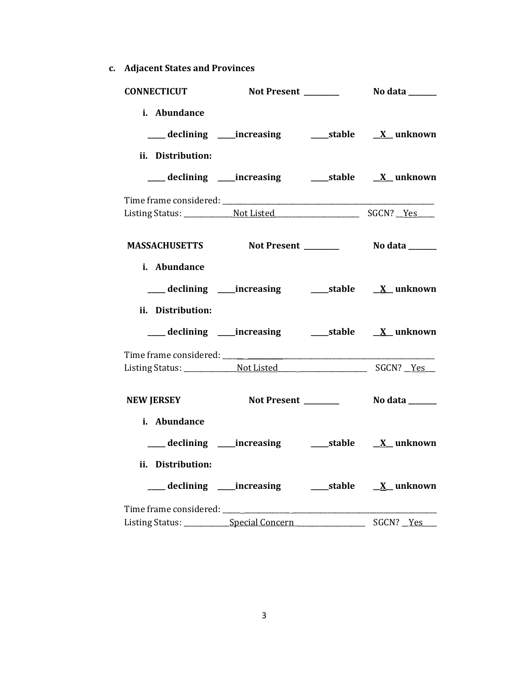**c. Adjacent States and Provinces**

| <b>CONNECTICUT</b>                                 |                                                          |  |
|----------------------------------------------------|----------------------------------------------------------|--|
| i. Abundance<br>ii. Distribution:                  |                                                          |  |
|                                                    | ___ declining ____increasing ______stable ___ X__unknown |  |
|                                                    |                                                          |  |
| MASSACHUSETTS Not Present _________ No data ______ |                                                          |  |
| i. Abundance<br>ii. Distribution:                  |                                                          |  |
|                                                    | ___ declining ____increasing ______stable ___ X__unknown |  |
|                                                    |                                                          |  |
| <b>NEW JERSEY</b>                                  |                                                          |  |
| i. Abundance<br>ii. Distribution:                  | ___ declining ____increasing ______stable ___ X__unknown |  |
| Listing Status: ____________ Special Concern       |                                                          |  |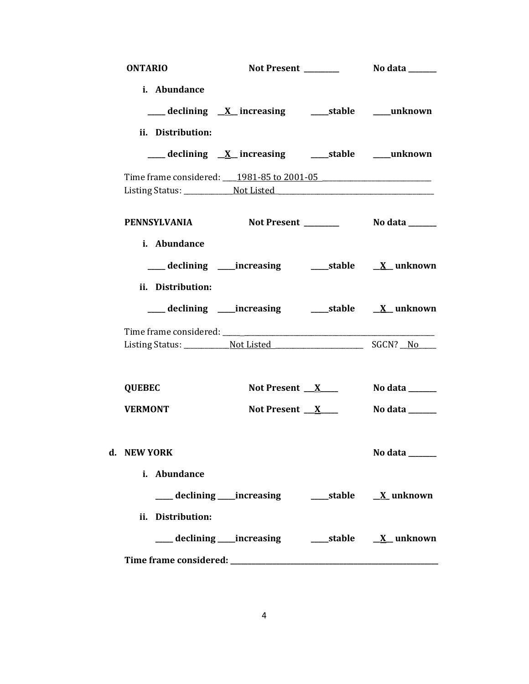| <b>ONTARIO</b>                                                                   | Not Present _______                                                                                               | No data _______                    |
|----------------------------------------------------------------------------------|-------------------------------------------------------------------------------------------------------------------|------------------------------------|
| i. Abundance<br>ii. Distribution:                                                | ___ declining X_ increasing _______stable _____unknown<br>___declining <u>X</u> _increasing ____stable ___unknown |                                    |
| Time frame considered: 1981-85 to 2001-05                                        |                                                                                                                   |                                    |
| Listing Status: __________________Not Listed ___________________________________ |                                                                                                                   |                                    |
| PENNSYLVANIA<br>i. Abundance                                                     |                                                                                                                   |                                    |
|                                                                                  |                                                                                                                   |                                    |
| ii. Distribution:                                                                |                                                                                                                   |                                    |
|                                                                                  |                                                                                                                   |                                    |
| <b>QUEBEC</b>                                                                    | Not Present $X_{\text{max}}$                                                                                      | No data ______                     |
| <b>VERMONT</b>                                                                   | Not Present $X$                                                                                                   | No data _______                    |
| d. NEW YORK<br>i. Abundance                                                      |                                                                                                                   | No data $\_\_\_\_\_\_\_\_\_\_\_\_$ |
| ii. Distribution:                                                                |                                                                                                                   |                                    |
|                                                                                  |                                                                                                                   |                                    |
|                                                                                  |                                                                                                                   |                                    |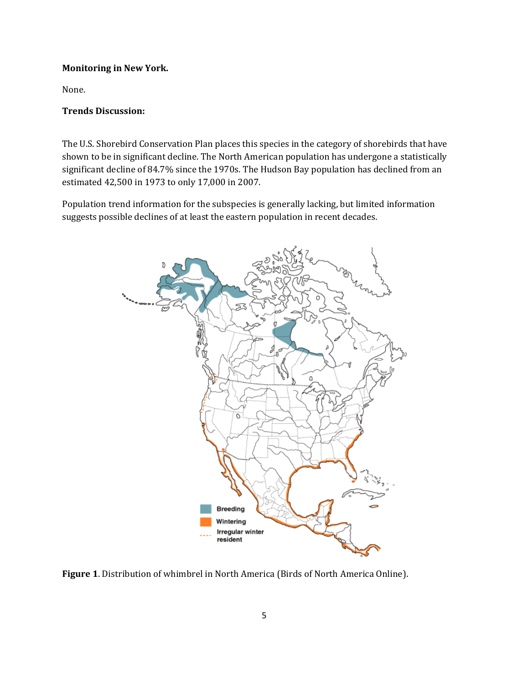## **Monitoring in New York.**

None.

## **Trends Discussion:**

The U.S. Shorebird Conservation Plan places this species in the category of shorebirds that have shown to be in significant decline. The North American population has undergone a statistically significant decline of 84.7% since the 1970s. The Hudson Bay population has declined from an estimated 42,500 in 1973 to only 17,000 in 2007.

Population trend information for the subspecies is generally lacking, but limited information suggests possible declines of at least the eastern population in recent decades.



**Figure 1**. Distribution of whimbrel in North America (Birds of North America Online).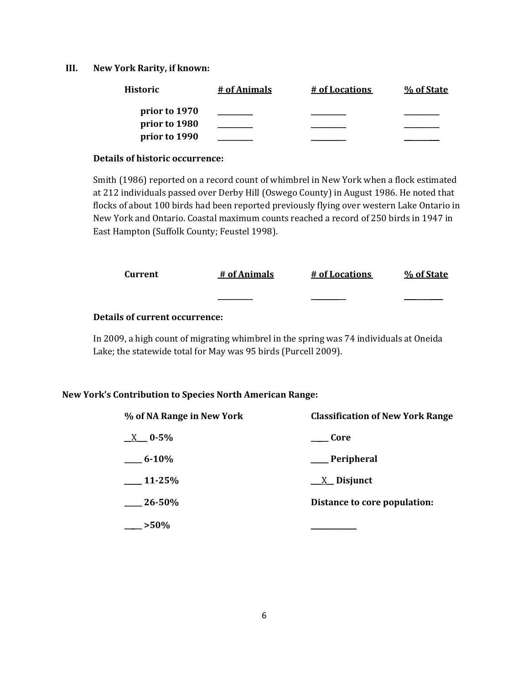### **III. New York Rarity, if known:**

| <b>Historic</b> | # of Animals | # of Locations | % of State |
|-----------------|--------------|----------------|------------|
| prior to 1970   |              |                |            |
| prior to 1980   |              |                |            |
| prior to 1990   |              |                |            |

### **Details of historic occurrence:**

Smith (1986) reported on a record count of whimbrel in New York when a flock estimated at 212 individuals passed over Derby Hill (Oswego County) in August 1986. He noted that flocks of about 100 birds had been reported previously flying over western Lake Ontario in New York and Ontario. Coastal maximum counts reached a record of 250 birds in 1947 in East Hampton (Suffolk County; Feustel 1998).

| Current | # of Animals | # of Locations | % of State |
|---------|--------------|----------------|------------|
|         | ________     |                |            |

# **Details of current occurrence:**

In 2009, a high count of migrating whimbrel in the spring was 74 individuals at Oneida Lake; the statewide total for May was 95 birds (Purcell 2009).

### **New York's Contribution to Species North American Range:**

| % of NA Range in New York | <b>Classification of New York Range</b> |
|---------------------------|-----------------------------------------|
| $X = 0.5\%$               | Core                                    |
| $6 - 10\%$                | ___Peripheral                           |
| $11-25%$                  | $\underline{X}$ Disjunct                |
| $26 - 50\%$               | Distance to core population:            |
| $-$ >50%                  |                                         |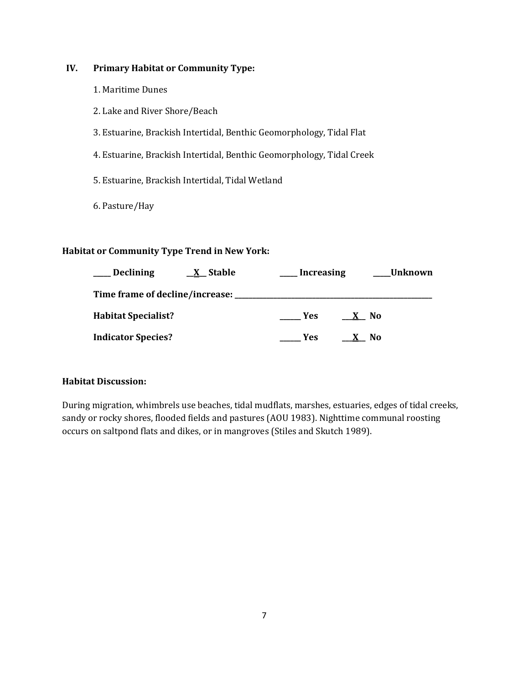# **IV. Primary Habitat or Community Type:**

- 1. Maritime Dunes
- 2. Lake and River Shore/Beach
- 3. Estuarine, Brackish Intertidal, Benthic Geomorphology, Tidal Flat
- 4. Estuarine, Brackish Intertidal, Benthic Geomorphology, Tidal Creek
- 5. Estuarine, Brackish Intertidal, Tidal Wetland
- 6. Pasture/Hay

# **Habitat or Community Type Trend in New York:**

| Declining                  | <u>X</u> Stable | <b>Increasing</b> | Unknown             |
|----------------------------|-----------------|-------------------|---------------------|
|                            |                 |                   |                     |
| <b>Habitat Specialist?</b> |                 | <b>Yes</b>        | No.<br>$\mathbf{X}$ |
| <b>Indicator Species?</b>  |                 | <b>Yes</b>        | No.                 |

# **Habitat Discussion:**

During migration, whimbrels use beaches, tidal mudflats, marshes, estuaries, edges of tidal creeks, sandy or rocky shores, flooded fields and pastures (AOU 1983). Nighttime communal roosting occurs on saltpond flats and dikes, or in mangroves (Stiles and Skutch 1989).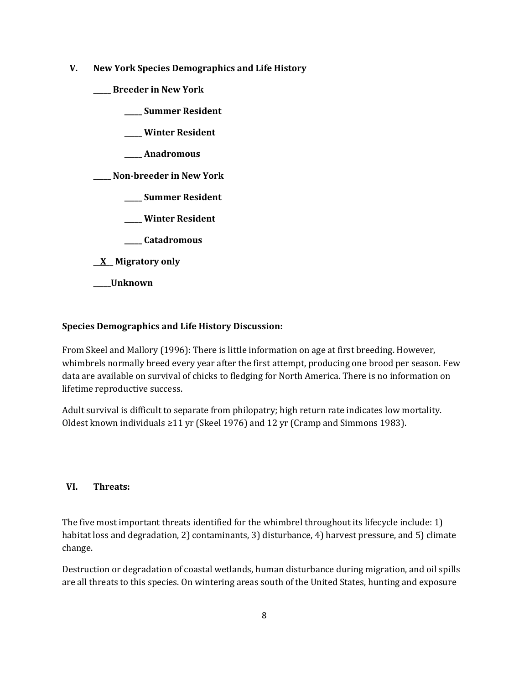- **V. New York Species Demographics and Life History**
	- **\_\_\_\_\_ Breeder in New York**
		- **\_\_\_\_\_ Summer Resident**
		- **\_\_\_\_\_ Winter Resident**
		- **\_\_\_\_\_ Anadromous**

**\_\_\_\_\_ Non-breeder in New York**

- **\_\_\_\_\_ Summer Resident**
- **\_\_\_\_\_ Winter Resident**
- **\_\_\_\_\_ Catadromous**
- **\_\_X\_\_ Migratory only**
- **\_\_\_\_\_Unknown**

### **Species Demographics and Life History Discussion:**

From Skeel and Mallory (1996): There is little information on age at first breeding. However, whimbrels normally breed every year after the first attempt, producing one brood per season. Few data are available on survival of chicks to fledging for North America. There is no information on lifetime reproductive success.

Adult survival is difficult to separate from philopatry; high return rate indicates low mortality. Oldest known individuals  $\geq$ 11 yr (Skeel 1976) and 12 yr (Cramp and Simmons 1983).

## **VI. Threats:**

The five most important threats identified for the whimbrel throughout its lifecycle include: 1) habitat loss and degradation, 2) contaminants, 3) disturbance, 4) harvest pressure, and 5) climate change.

Destruction or degradation of coastal wetlands, human disturbance during migration, and oil spills are all threats to this species. On wintering areas south of the United States, hunting and exposure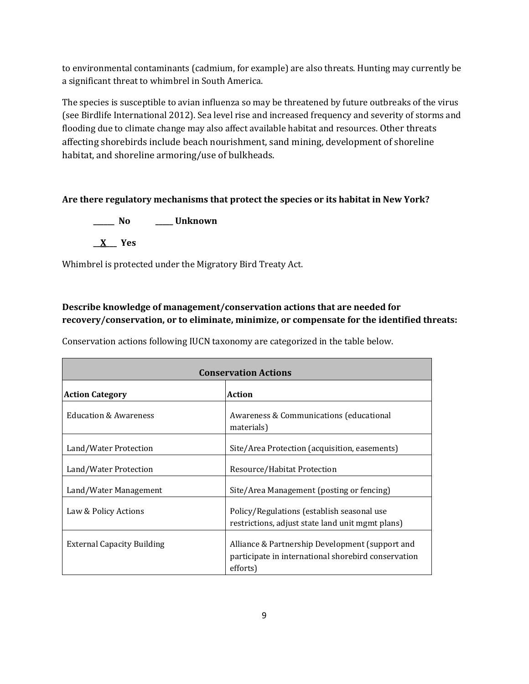to environmental contaminants (cadmium, for example) are also threats. Hunting may currently be a significant threat to whimbrel in South America.

The species is susceptible to avian influenza so may be threatened by future outbreaks of the virus (see Birdlife International 2012). Sea level rise and increased frequency and severity of storms and flooding due to climate change may also affect available habitat and resources. Other threats affecting shorebirds include beach nourishment, sand mining, development of shoreline habitat, and shoreline armoring/use of bulkheads.

# **Are there regulatory mechanisms that protect the species or its habitat in New York?**

**\_\_\_\_\_\_ No \_\_\_\_\_ Unknown \_\_X\_\_\_ Yes** 

Whimbrel is protected under the Migratory Bird Treaty Act.

# **Describe knowledge of management/conservation actions that are needed for recovery/conservation, or to eliminate, minimize, or compensate for the identified threats:**

Conservation actions following IUCN taxonomy are categorized in the table below.

| <b>Conservation Actions</b>       |                                                                                                                    |  |
|-----------------------------------|--------------------------------------------------------------------------------------------------------------------|--|
| <b>Action Category</b>            | <b>Action</b>                                                                                                      |  |
| <b>Education &amp; Awareness</b>  | Awareness & Communications (educational<br>materials)                                                              |  |
| Land/Water Protection             | Site/Area Protection (acquisition, easements)                                                                      |  |
| Land/Water Protection             | Resource/Habitat Protection                                                                                        |  |
| Land/Water Management             | Site/Area Management (posting or fencing)                                                                          |  |
| Law & Policy Actions              | Policy/Regulations (establish seasonal use<br>restrictions, adjust state land unit mgmt plans)                     |  |
| <b>External Capacity Building</b> | Alliance & Partnership Development (support and<br>participate in international shorebird conservation<br>efforts) |  |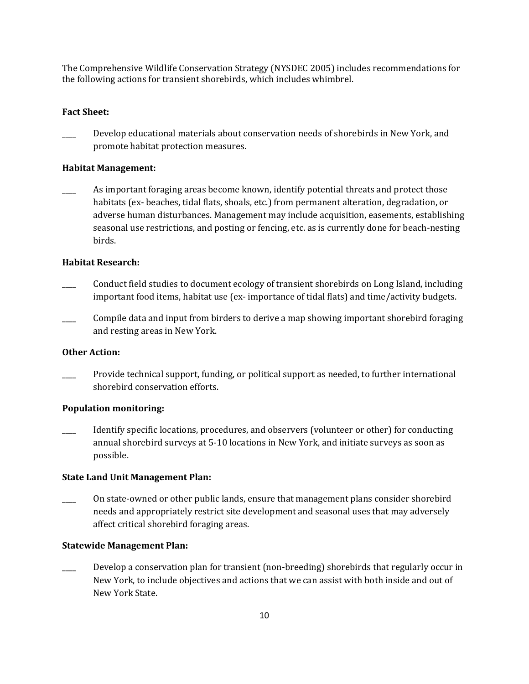The Comprehensive Wildlife Conservation Strategy (NYSDEC 2005) includes recommendations for the following actions for transient shorebirds, which includes whimbrel.

### **Fact Sheet:**

Develop educational materials about conservation needs of shorebirds in New York, and promote habitat protection measures.

### **Habitat Management:**

As important foraging areas become known, identify potential threats and protect those habitats (ex- beaches, tidal flats, shoals, etc.) from permanent alteration, degradation, or adverse human disturbances. Management may include acquisition, easements, establishing seasonal use restrictions, and posting or fencing, etc. as is currently done for beach-nesting birds.

### **Habitat Research:**

- \_\_\_\_ Conduct field studies to document ecology of transient shorebirds on Long Island, including important food items, habitat use (ex- importance of tidal flats) and time/activity budgets.
- Compile data and input from birders to derive a map showing important shorebird foraging and resting areas in New York.

### **Other Action:**

\_\_\_\_ Provide technical support, funding, or political support as needed, to further international shorebird conservation efforts.

#### **Population monitoring:**

\_\_\_\_ Identify specific locations, procedures, and observers (volunteer or other) for conducting annual shorebird surveys at 5-10 locations in New York, and initiate surveys as soon as possible.

## **State Land Unit Management Plan:**

\_\_\_\_ On state-owned or other public lands, ensure that management plans consider shorebird needs and appropriately restrict site development and seasonal uses that may adversely affect critical shorebird foraging areas.

### **Statewide Management Plan:**

Develop a conservation plan for transient (non-breeding) shorebirds that regularly occur in New York, to include objectives and actions that we can assist with both inside and out of New York State.